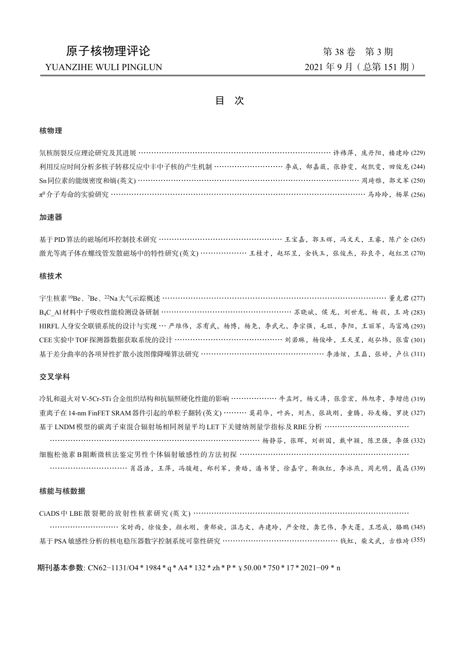# 原子核物理评论 有一个 第 2 8 年 第 38 年 第 3期

### YUANZIHE WULI PINGLUN 2021 年 9 月 (总第 151 期)

目 次

#### 核物理

| <b>氘核削裂反应理论研究及其进展 ………………………………………………………………………………… 许祎萍, 庞丹阳, 楼建玲 (229)</b> |  |  |
|---------------------------------------------------------------------------|--|--|
| 利用反应时间分析多核子转移反应中丰中子核的产生机制 ………………………… 李成, 郜嘉薇, 张静雯, 赵凯雯, 田俊龙 (244)         |  |  |
| Sn同位素的能级密度和熵(英文)………………………………………………………………………………… 周琦雅, 郭文军 (250)            |  |  |
|                                                                           |  |  |

### 加速器

| 基于 PID 算法的磁场闭环控制技术研究 ……………………………………………… 王宝嘉, 郭玉辉, 冯文天, 王睿, 陈广全 (265) |  |  |  |
|----------------------------------------------------------------------|--|--|--|
| 激光等离子体在螺线管发散磁场中的特性研究(英文) ………………… 王桂才,赵环昱,金钱玉,张俊杰,孙良亭,赵红卫 (270)       |  |  |  |

#### 核技术

| 宇生核素 <sup>10</sup> Be、 <sup>7</sup> Be、 <sup>22</sup> Na大气示踪概述 ………………………………………………………………………………… 董克君 (277) |
|----------------------------------------------------------------------------------------------------------|
| B4C_Al材料中子吸收性能检测设备研制 ……………………………………………… 苏晓斌, 侯 龙, 刘世龙, 杨 毅, 王 琦 (283)                                    |
| HIRFL 人身安全联锁系统的设计与实现 … 严维伟, 苏有武, 杨博, 杨尧, 李武元, 李宗强, 毛旺, 李阳, 王丽军, 马富鸿 (293)                                |
| CEE 实验中 TOF 探测器数据获取系统的设计 ……………………………………… 刘若琳, 杨俊峰, 王天星, 赵弘炜, 张雷 (301)                                    |
| 基于差分曲率的各项异性扩散小波图像降噪算法研究 …………………………………………… 李浩炫, 王磊, 张婷, 卢位 (311)                                          |

#### 交叉学科

冷轧和退火对 V-5Cr-5Ti 合金组织结构和抗辐照硬化性能的影响 ……………… 牛孟珂, 杨义涛, 张崇宏, 韩旭孝, 李增德 (319) 重离子在14-nm FinFET SRAM器件引起的单粒子翻转(英文) ……… 莫莉华,叶兵, 刘杰, 张战刚, 童腾, 孙友梅, 罗捷 (327) 基于 LNDM模型的碳离子束混合辐射场相同剂量平均 LET下关键纳剂量学指标及 RBE分析 …………………………… ………………………………………………………………………… 杨静芬,张晖,刘新国,戴中颖,陈卫强,李强 (332) 细胞松弛素 B阻断微核法鉴定男性个体辐射敏感性的方法初探 ………………………………………………………… …………………………… 肖昌浩,王萍,冯骏超,郑利军,黄皓,潘书贤,徐嘉宁,靳淑红,李冰燕,周光明,聂晶 (339)

#### 核能与核数据

CiADS中 LBE散裂靶的放射性核素研究 (英文) …………………………………………………………………………

………………………… 宋时雨, 徐俊奎, 颜永刚, 黄郁旋, 温志文, 冉建玲, 严金煌, 龚艺伟, 李大蓬, 王思成, 骆鹏 (345) 基于PSA 敏感性分析的核电稳压器数字控制系统可靠性研究 ………………………………………… 线虹, 柴文武, 古雅琦 (355)

期刊基本参数: CN62−1131/O4 \* 1984 \* q \* A4 \* 132 \* zh \*P\* ¥50.00 \* 750 \* 17 \* 2021−09 \* n